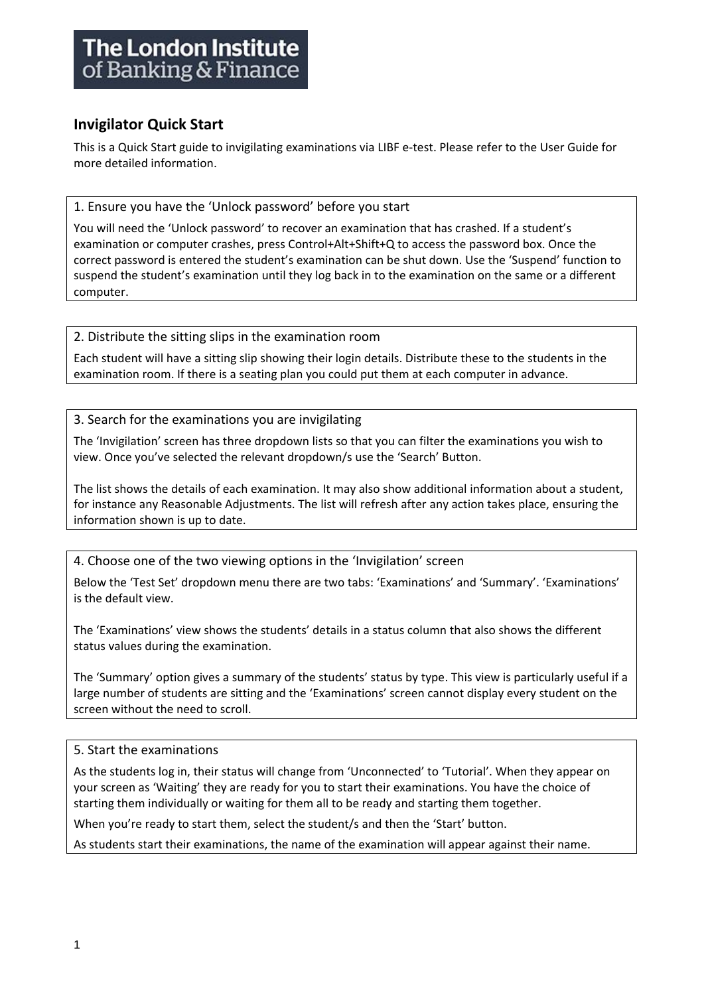# **The London Institute** of Banking & Finance

## **Invigilator Quick Start**

This is a Quick Start guide to invigilating examinations via LIBF e-test. Please refer to the User Guide for more detailed information.

1. Ensure you have the 'Unlock password' before you start

You will need the 'Unlock password' to recover an examination that has crashed. If a student's examination or computer crashes, press Control+Alt+Shift+Q to access the password box. Once the correct password is entered the student's examination can be shut down. Use the 'Suspend' function to suspend the student's examination until they log back in to the examination on the same or a different computer.

2. Distribute the sitting slips in the examination room

Each student will have a sitting slip showing their login details. Distribute these to the students in the examination room. If there is a seating plan you could put them at each computer in advance.

3. Search for the examinations you are invigilating

The 'Invigilation' screen has three dropdown lists so that you can filter the examinations you wish to view. Once you've selected the relevant dropdown/s use the 'Search' Button.

The list shows the details of each examination. It may also show additional information about a student, for instance any Reasonable Adjustments. The list will refresh after any action takes place, ensuring the information shown is up to date.

4. Choose one of the two viewing options in the 'Invigilation' screen

Below the 'Test Set' dropdown menu there are two tabs: 'Examinations' and 'Summary'. 'Examinations' is the default view.

The 'Examinations' view shows the students' details in a status column that also shows the different status values during the examination.

The 'Summary' option gives a summary of the students' status by type. This view is particularly useful if a large number of students are sitting and the 'Examinations' screen cannot display every student on the screen without the need to scroll.

### 5. Start the examinations

As the students log in, their status will change from 'Unconnected' to 'Tutorial'. When they appear on your screen as 'Waiting' they are ready for you to start their examinations. You have the choice of starting them individually or waiting for them all to be ready and starting them together.

When you're ready to start them, select the student/s and then the 'Start' button.

As students start their examinations, the name of the examination will appear against their name.